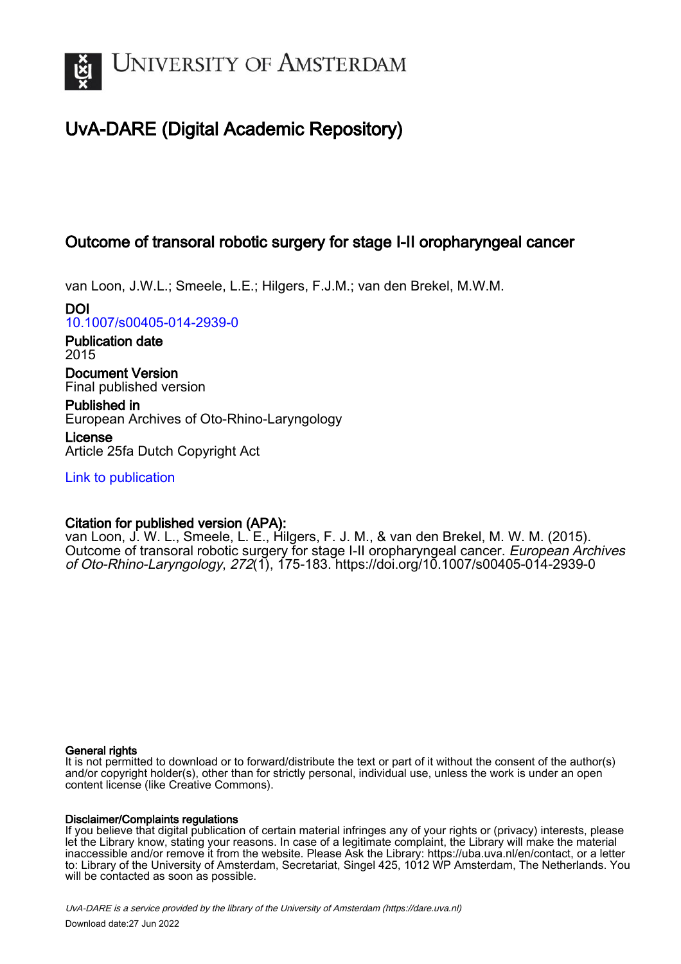

# UvA-DARE (Digital Academic Repository)

## Outcome of transoral robotic surgery for stage I-II oropharyngeal cancer

van Loon, J.W.L.; Smeele, L.E.; Hilgers, F.J.M.; van den Brekel, M.W.M.

DOI [10.1007/s00405-014-2939-0](https://doi.org/10.1007/s00405-014-2939-0)

Publication date 2015

Document Version Final published version

Published in European Archives of Oto-Rhino-Laryngology

License Article 25fa Dutch Copyright Act

[Link to publication](https://dare.uva.nl/personal/pure/en/publications/outcome-of-transoral-robotic-surgery-for-stage-iii-oropharyngeal-cancer(48bade83-888a-4a7e-bd2c-7ccd28e39c31).html)

## Citation for published version (APA):

van Loon, J. W. L., Smeele, L. E., Hilgers, F. J. M., & van den Brekel, M. W. M. (2015). Outcome of transoral robotic surgery for stage I-II oropharyngeal cancer. European Archives of Oto-Rhino-Laryngology, 272(1), 175-183. <https://doi.org/10.1007/s00405-014-2939-0>

## General rights

It is not permitted to download or to forward/distribute the text or part of it without the consent of the author(s) and/or copyright holder(s), other than for strictly personal, individual use, unless the work is under an open content license (like Creative Commons).

## Disclaimer/Complaints regulations

If you believe that digital publication of certain material infringes any of your rights or (privacy) interests, please let the Library know, stating your reasons. In case of a legitimate complaint, the Library will make the material inaccessible and/or remove it from the website. Please Ask the Library: https://uba.uva.nl/en/contact, or a letter to: Library of the University of Amsterdam, Secretariat, Singel 425, 1012 WP Amsterdam, The Netherlands. You will be contacted as soon as possible.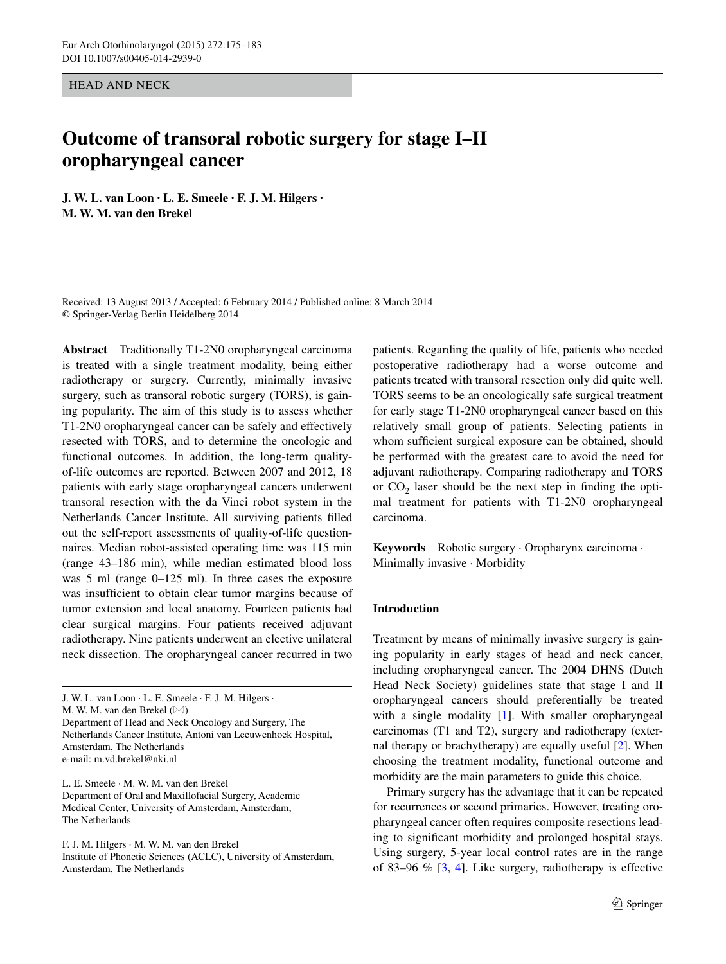HEAD AND NECK

## **Outcome of transoral robotic surgery for stage I–II oropharyngeal cancer**

**J. W. L. van Loon · L. E. Smeele · F. J. M. Hilgers · M. W. M. van den Brekel**

Received: 13 August 2013 / Accepted: 6 February 2014 / Published online: 8 March 2014 © Springer-Verlag Berlin Heidelberg 2014

**Abstract** Traditionally T1-2N0 oropharyngeal carcinoma is treated with a single treatment modality, being either radiotherapy or surgery. Currently, minimally invasive surgery, such as transoral robotic surgery (TORS), is gaining popularity. The aim of this study is to assess whether T1-2N0 oropharyngeal cancer can be safely and effectively resected with TORS, and to determine the oncologic and functional outcomes. In addition, the long-term qualityof-life outcomes are reported. Between 2007 and 2012, 18 patients with early stage oropharyngeal cancers underwent transoral resection with the da Vinci robot system in the Netherlands Cancer Institute. All surviving patients filled out the self-report assessments of quality-of-life questionnaires. Median robot-assisted operating time was 115 min (range 43–186 min), while median estimated blood loss was 5 ml (range 0–125 ml). In three cases the exposure was insufficient to obtain clear tumor margins because of tumor extension and local anatomy. Fourteen patients had clear surgical margins. Four patients received adjuvant radiotherapy. Nine patients underwent an elective unilateral neck dissection. The oropharyngeal cancer recurred in two

J. W. L. van Loon · L. E. Smeele · F. J. M. Hilgers · M. W. M. van den Brekel ( $\boxtimes$ ) Department of Head and Neck Oncology and Surgery, The Netherlands Cancer Institute, Antoni van Leeuwenhoek Hospital, Amsterdam, The Netherlands e-mail: m.vd.brekel@nki.nl

L. E. Smeele · M. W. M. van den Brekel Department of Oral and Maxillofacial Surgery, Academic Medical Center, University of Amsterdam, Amsterdam, The Netherlands

F. J. M. Hilgers · M. W. M. van den Brekel

Institute of Phonetic Sciences (ACLC), University of Amsterdam, Amsterdam, The Netherlands

patients. Regarding the quality of life, patients who needed postoperative radiotherapy had a worse outcome and patients treated with transoral resection only did quite well. TORS seems to be an oncologically safe surgical treatment for early stage T1-2N0 oropharyngeal cancer based on this relatively small group of patients. Selecting patients in whom sufficient surgical exposure can be obtained, should be performed with the greatest care to avoid the need for adjuvant radiotherapy. Comparing radiotherapy and TORS or  $CO<sub>2</sub>$  laser should be the next step in finding the optimal treatment for patients with T1-2N0 oropharyngeal carcinoma.

**Keywords** Robotic surgery · Oropharynx carcinoma · Minimally invasive · Morbidity

#### **Introduction**

Treatment by means of minimally invasive surgery is gaining popularity in early stages of head and neck cancer, including oropharyngeal cancer. The 2004 DHNS (Dutch Head Neck Society) guidelines state that stage I and II oropharyngeal cancers should preferentially be treated with a single modality [[1\]](#page-8-0). With smaller oropharyngeal carcinomas (T1 and T2), surgery and radiotherapy (external therapy or brachytherapy) are equally useful [[2\]](#page-8-1). When choosing the treatment modality, functional outcome and morbidity are the main parameters to guide this choice.

Primary surgery has the advantage that it can be repeated for recurrences or second primaries. However, treating oropharyngeal cancer often requires composite resections leading to significant morbidity and prolonged hospital stays. Using surgery, 5-year local control rates are in the range of 83–96 % [\[3](#page-8-2), [4\]](#page-8-3). Like surgery, radiotherapy is effective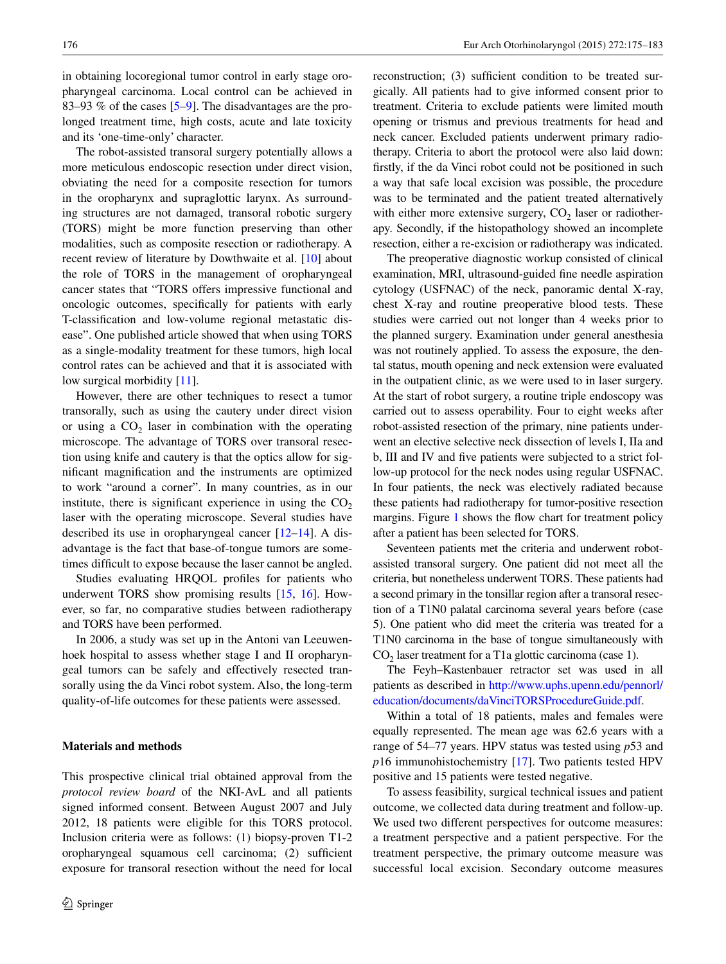in obtaining locoregional tumor control in early stage oropharyngeal carcinoma. Local control can be achieved in 83–93 % of the cases [[5–](#page-8-4)[9\]](#page-8-5). The disadvantages are the prolonged treatment time, high costs, acute and late toxicity and its 'one-time-only' character.

The robot-assisted transoral surgery potentially allows a more meticulous endoscopic resection under direct vision, obviating the need for a composite resection for tumors in the oropharynx and supraglottic larynx. As surrounding structures are not damaged, transoral robotic surgery (TORS) might be more function preserving than other modalities, such as composite resection or radiotherapy. A recent review of literature by Dowthwaite et al. [\[10](#page-8-6)] about the role of TORS in the management of oropharyngeal cancer states that "TORS offers impressive functional and oncologic outcomes, specifically for patients with early T-classification and low-volume regional metastatic disease". One published article showed that when using TORS as a single-modality treatment for these tumors, high local control rates can be achieved and that it is associated with low surgical morbidity [[11\]](#page-8-7).

However, there are other techniques to resect a tumor transorally, such as using the cautery under direct vision or using a  $CO<sub>2</sub>$  laser in combination with the operating microscope. The advantage of TORS over transoral resection using knife and cautery is that the optics allow for significant magnification and the instruments are optimized to work "around a corner". In many countries, as in our institute, there is significant experience in using the  $CO<sub>2</sub>$ laser with the operating microscope. Several studies have described its use in oropharyngeal cancer [\[12](#page-8-8)[–14](#page-8-9)]. A disadvantage is the fact that base-of-tongue tumors are sometimes difficult to expose because the laser cannot be angled.

Studies evaluating HRQOL profiles for patients who underwent TORS show promising results [[15,](#page-8-10) [16\]](#page-8-11). However, so far, no comparative studies between radiotherapy and TORS have been performed.

In 2006, a study was set up in the Antoni van Leeuwenhoek hospital to assess whether stage I and II oropharyngeal tumors can be safely and effectively resected transorally using the da Vinci robot system. Also, the long-term quality-of-life outcomes for these patients were assessed.

#### **Materials and methods**

This prospective clinical trial obtained approval from the *protocol review board* of the NKI-AvL and all patients signed informed consent. Between August 2007 and July 2012, 18 patients were eligible for this TORS protocol. Inclusion criteria were as follows: (1) biopsy-proven T1-2 oropharyngeal squamous cell carcinoma; (2) sufficient exposure for transoral resection without the need for local

reconstruction; (3) sufficient condition to be treated surgically. All patients had to give informed consent prior to treatment. Criteria to exclude patients were limited mouth opening or trismus and previous treatments for head and neck cancer. Excluded patients underwent primary radiotherapy. Criteria to abort the protocol were also laid down: firstly, if the da Vinci robot could not be positioned in such a way that safe local excision was possible, the procedure was to be terminated and the patient treated alternatively with either more extensive surgery,  $CO<sub>2</sub>$  laser or radiotherapy. Secondly, if the histopathology showed an incomplete resection, either a re-excision or radiotherapy was indicated.

The preoperative diagnostic workup consisted of clinical examination, MRI, ultrasound-guided fine needle aspiration cytology (USFNAC) of the neck, panoramic dental X-ray, chest X-ray and routine preoperative blood tests. These studies were carried out not longer than 4 weeks prior to the planned surgery. Examination under general anesthesia was not routinely applied. To assess the exposure, the dental status, mouth opening and neck extension were evaluated in the outpatient clinic, as we were used to in laser surgery. At the start of robot surgery, a routine triple endoscopy was carried out to assess operability. Four to eight weeks after robot-assisted resection of the primary, nine patients underwent an elective selective neck dissection of levels I, IIa and b, III and IV and five patients were subjected to a strict follow-up protocol for the neck nodes using regular USFNAC. In four patients, the neck was electively radiated because these patients had radiotherapy for tumor-positive resection margins. Figure [1](#page-3-0) shows the flow chart for treatment policy after a patient has been selected for TORS.

Seventeen patients met the criteria and underwent robotassisted transoral surgery. One patient did not meet all the criteria, but nonetheless underwent TORS. These patients had a second primary in the tonsillar region after a transoral resection of a T1N0 palatal carcinoma several years before (case 5). One patient who did meet the criteria was treated for a T1N0 carcinoma in the base of tongue simultaneously with  $CO<sub>2</sub>$  laser treatment for a T1a glottic carcinoma (case 1).

The Feyh–Kastenbauer retractor set was used in all patients as described in [http://www.uphs.upenn.edu/pennorl/](http://www.uphs.upenn.edu/pennorl/education/documents/daVinciTORSProcedureGuide.pdf) [education/documents/daVinciTORSProcedureGuide.pdf](http://www.uphs.upenn.edu/pennorl/education/documents/daVinciTORSProcedureGuide.pdf).

Within a total of 18 patients, males and females were equally represented. The mean age was 62.6 years with a range of 54–77 years. HPV status was tested using *p*53 and *p*16 immunohistochemistry [\[17](#page-8-12)]. Two patients tested HPV positive and 15 patients were tested negative.

To assess feasibility, surgical technical issues and patient outcome, we collected data during treatment and follow-up. We used two different perspectives for outcome measures: a treatment perspective and a patient perspective. For the treatment perspective, the primary outcome measure was successful local excision. Secondary outcome measures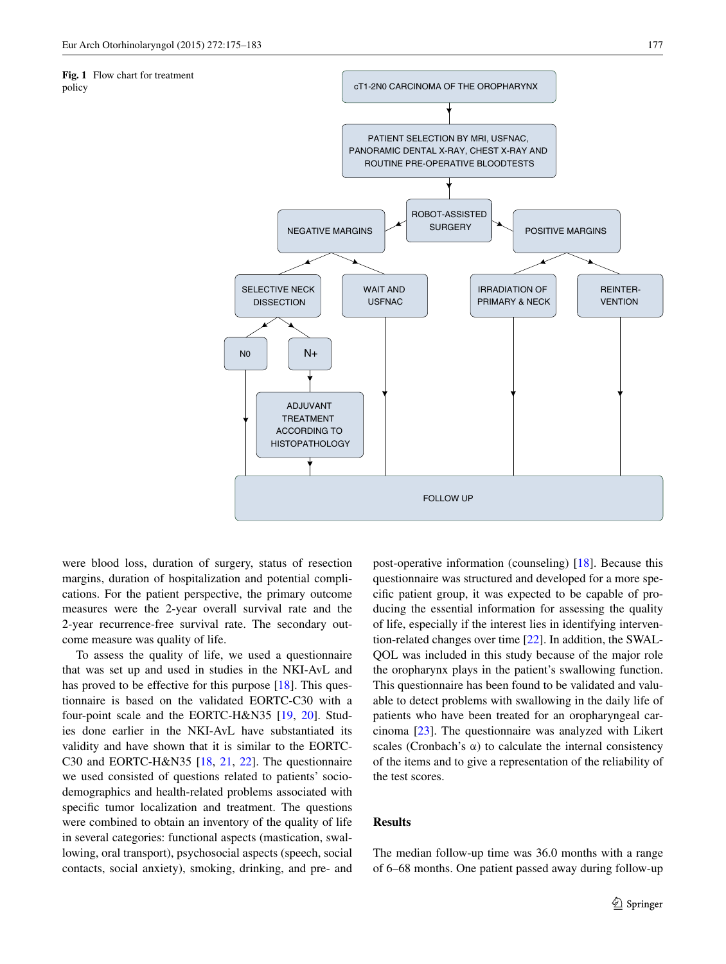<span id="page-3-0"></span>**Fig. 1** Flow chart for treatment

policy



were blood loss, duration of surgery, status of resection margins, duration of hospitalization and potential complications. For the patient perspective, the primary outcome measures were the 2-year overall survival rate and the 2-year recurrence-free survival rate. The secondary outcome measure was quality of life.

To assess the quality of life, we used a questionnaire that was set up and used in studies in the NKI-AvL and has proved to be effective for this purpose [\[18](#page-8-13)]. This questionnaire is based on the validated EORTC-C30 with a four-point scale and the EORTC-H&N35 [[19,](#page-8-14) [20](#page-8-15)]. Studies done earlier in the NKI-AvL have substantiated its validity and have shown that it is similar to the EORTC-C30 and EORTC-H&N35 [\[18](#page-8-13), [21](#page-8-16), [22\]](#page-8-17). The questionnaire we used consisted of questions related to patients' sociodemographics and health-related problems associated with specific tumor localization and treatment. The questions were combined to obtain an inventory of the quality of life in several categories: functional aspects (mastication, swallowing, oral transport), psychosocial aspects (speech, social contacts, social anxiety), smoking, drinking, and pre- and post-operative information (counseling) [[18\]](#page-8-13). Because this questionnaire was structured and developed for a more specific patient group, it was expected to be capable of producing the essential information for assessing the quality of life, especially if the interest lies in identifying intervention-related changes over time [[22\]](#page-8-17). In addition, the SWAL-QOL was included in this study because of the major role the oropharynx plays in the patient's swallowing function. This questionnaire has been found to be validated and valuable to detect problems with swallowing in the daily life of patients who have been treated for an oropharyngeal carcinoma [[23\]](#page-8-18). The questionnaire was analyzed with Likert scales (Cronbach's  $\alpha$ ) to calculate the internal consistency of the items and to give a representation of the reliability of the test scores.

#### **Results**

The median follow-up time was 36.0 months with a range of 6–68 months. One patient passed away during follow-up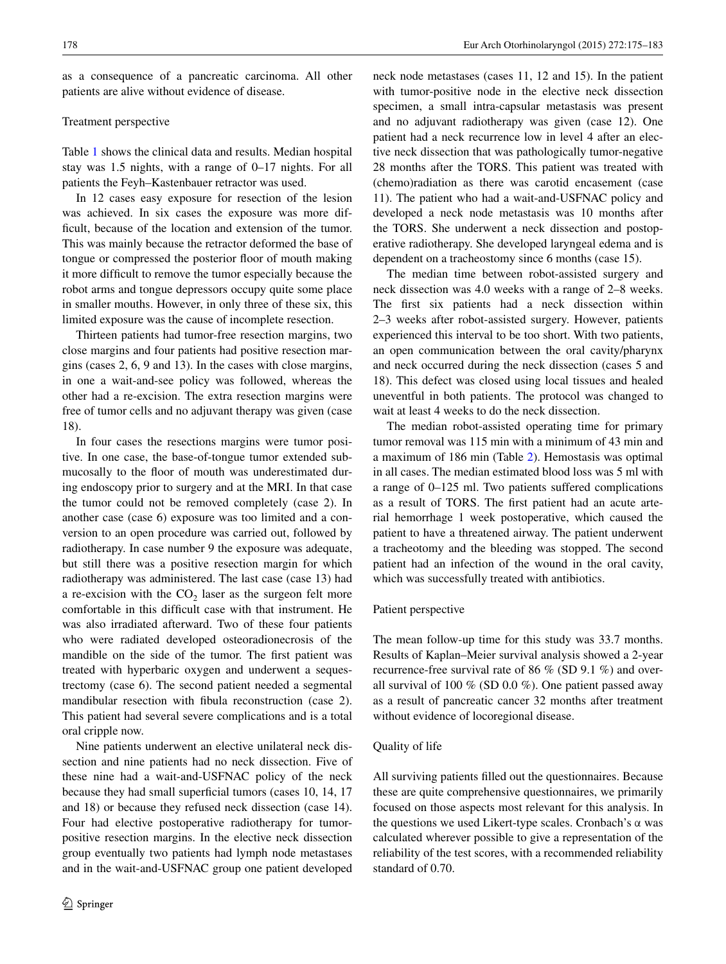as a consequence of a pancreatic carcinoma. All other patients are alive without evidence of disease.

#### Treatment perspective

Table [1](#page-5-0) shows the clinical data and results. Median hospital stay was 1.5 nights, with a range of 0–17 nights. For all patients the Feyh–Kastenbauer retractor was used.

In 12 cases easy exposure for resection of the lesion was achieved. In six cases the exposure was more difficult, because of the location and extension of the tumor. This was mainly because the retractor deformed the base of tongue or compressed the posterior floor of mouth making it more difficult to remove the tumor especially because the robot arms and tongue depressors occupy quite some place in smaller mouths. However, in only three of these six, this limited exposure was the cause of incomplete resection.

Thirteen patients had tumor-free resection margins, two close margins and four patients had positive resection margins (cases 2, 6, 9 and 13). In the cases with close margins, in one a wait-and-see policy was followed, whereas the other had a re-excision. The extra resection margins were free of tumor cells and no adjuvant therapy was given (case 18).

In four cases the resections margins were tumor positive. In one case, the base-of-tongue tumor extended submucosally to the floor of mouth was underestimated during endoscopy prior to surgery and at the MRI. In that case the tumor could not be removed completely (case 2). In another case (case 6) exposure was too limited and a conversion to an open procedure was carried out, followed by radiotherapy. In case number 9 the exposure was adequate, but still there was a positive resection margin for which radiotherapy was administered. The last case (case 13) had a re-excision with the  $CO<sub>2</sub>$  laser as the surgeon felt more comfortable in this difficult case with that instrument. He was also irradiated afterward. Two of these four patients who were radiated developed osteoradionecrosis of the mandible on the side of the tumor. The first patient was treated with hyperbaric oxygen and underwent a sequestrectomy (case 6). The second patient needed a segmental mandibular resection with fibula reconstruction (case 2). This patient had several severe complications and is a total oral cripple now.

Nine patients underwent an elective unilateral neck dissection and nine patients had no neck dissection. Five of these nine had a wait-and-USFNAC policy of the neck because they had small superficial tumors (cases 10, 14, 17 and 18) or because they refused neck dissection (case 14). Four had elective postoperative radiotherapy for tumorpositive resection margins. In the elective neck dissection group eventually two patients had lymph node metastases and in the wait-and-USFNAC group one patient developed neck node metastases (cases 11, 12 and 15). In the patient with tumor-positive node in the elective neck dissection specimen, a small intra-capsular metastasis was present and no adjuvant radiotherapy was given (case 12). One patient had a neck recurrence low in level 4 after an elective neck dissection that was pathologically tumor-negative 28 months after the TORS. This patient was treated with (chemo)radiation as there was carotid encasement (case 11). The patient who had a wait-and-USFNAC policy and developed a neck node metastasis was 10 months after the TORS. She underwent a neck dissection and postoperative radiotherapy. She developed laryngeal edema and is dependent on a tracheostomy since 6 months (case 15).

The median time between robot-assisted surgery and neck dissection was 4.0 weeks with a range of 2–8 weeks. The first six patients had a neck dissection within 2–3 weeks after robot-assisted surgery. However, patients experienced this interval to be too short. With two patients, an open communication between the oral cavity/pharynx and neck occurred during the neck dissection (cases 5 and 18). This defect was closed using local tissues and healed uneventful in both patients. The protocol was changed to wait at least 4 weeks to do the neck dissection.

The median robot-assisted operating time for primary tumor removal was 115 min with a minimum of 43 min and a maximum of 186 min (Table [2\)](#page-6-0). Hemostasis was optimal in all cases. The median estimated blood loss was 5 ml with a range of 0–125 ml. Two patients suffered complications as a result of TORS. The first patient had an acute arterial hemorrhage 1 week postoperative, which caused the patient to have a threatened airway. The patient underwent a tracheotomy and the bleeding was stopped. The second patient had an infection of the wound in the oral cavity, which was successfully treated with antibiotics.

#### Patient perspective

The mean follow-up time for this study was 33.7 months. Results of Kaplan–Meier survival analysis showed a 2-year recurrence-free survival rate of 86 % (SD 9.1 %) and overall survival of 100 % (SD 0.0 %). One patient passed away as a result of pancreatic cancer 32 months after treatment without evidence of locoregional disease.

#### Quality of life

All surviving patients filled out the questionnaires. Because these are quite comprehensive questionnaires, we primarily focused on those aspects most relevant for this analysis. In the questions we used Likert-type scales. Cronbach's  $\alpha$  was calculated wherever possible to give a representation of the reliability of the test scores, with a recommended reliability standard of 0.70.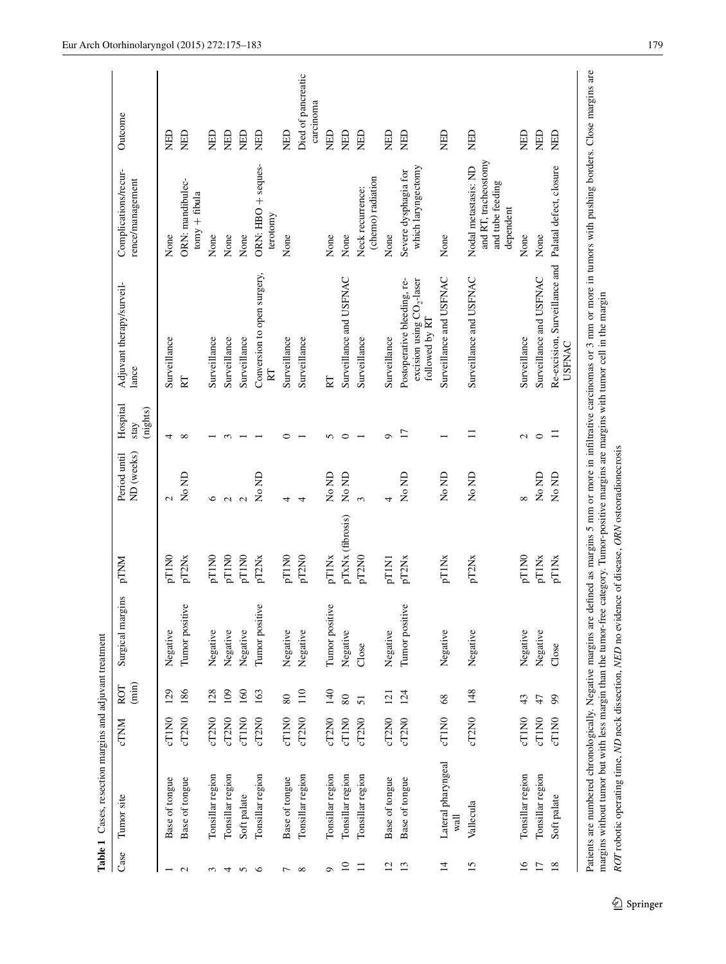|                 | Table 1 Cases, resection margins and adjuvant treatment |                   |                 |                     |                   |                            |                              |                                                                                                                                                                                          |                                                                               |                                 |
|-----------------|---------------------------------------------------------|-------------------|-----------------|---------------------|-------------------|----------------------------|------------------------------|------------------------------------------------------------------------------------------------------------------------------------------------------------------------------------------|-------------------------------------------------------------------------------|---------------------------------|
| Case            | Tumor site                                              | <b>CTNM</b>       | $(\min)$<br>ROT | Surgical margins    | pTNM              | ND (weeks)<br>Period until | Hospital<br>(nights)<br>stay | Adjuvant therapy/surveil-<br>lance                                                                                                                                                       | Complications/recur-<br>rence/management                                      | Outcome                         |
|                 | Base of tongue                                          | cT1N0             | 129             | Negative            | pT1N0             | $\mathbf{C}$               | 4                            | Surveillance                                                                                                                                                                             | None                                                                          | 旦                               |
| $\mathbf{C}$    | Base of tongue                                          | cT2N0             | 186             | Ò<br>Tumor positiv  | pT2Nx             | No ND                      | $\infty$                     | RT                                                                                                                                                                                       | ORN: mandibulec-<br>$t$ omy + fibula                                          | <b>Qarx</b>                     |
| 3               | Tonsillar region                                        | cT2N0             | 128             | Negative            | pT1N0             | $\circ$                    |                              | Surveillance                                                                                                                                                                             | None                                                                          | 日<br>NHD                        |
| 4               | Tonsillar region                                        | cT2N0             | 109             | Negative            | pT1N0             | $\sim$                     |                              | Surveillance                                                                                                                                                                             | None                                                                          | 日<br>NHD                        |
| S               | Soft palate                                             | cT1N0             | 160             | Negative            | pT1N0             | $\mathbf{\Omega}$          |                              | Surveillance                                                                                                                                                                             | None                                                                          | 日<br>以下                         |
| $\circ$         | Tonsillar region                                        | cT2N0             | 163             | Ö<br>Tumor positiv  | pT2Nx             | No ND                      |                              | Conversion to open surgery,<br>RT                                                                                                                                                        | ORN: HBO + seques-<br>terotomy                                                | 日<br>以下                         |
| $\overline{ }$  | Base of tongue                                          | cT1N0             | $80\,$          | Negative            | pT1N0             | 4                          | ⊂                            | Surveillance                                                                                                                                                                             | None                                                                          | 日<br>NHD                        |
| ${}^{\circ}$    | Tonsillar region                                        | cT2N0             | 110             | Negative            | pT2N0             | 4                          |                              | Surveillance                                                                                                                                                                             |                                                                               | Died of pancreatic<br>carcinoma |
| $\circ$         | Tonsillar region                                        | cT2N0             | 140             | Ğ,<br>Tumor positiv | pT1Nx             | No ND                      | n                            | 囟                                                                                                                                                                                        | None                                                                          | <b>Qarx</b>                     |
| $\overline{10}$ | Tonsillar region                                        | cT1N0             | $80\,$          | Negative            | pTxNx (fibrosis)  | No ND                      | $\circ$                      | Surveillance and USFNAC                                                                                                                                                                  | None                                                                          | 日<br>大                          |
| $\Box$          | Tonsillar region                                        | cT2N0             | 51              | Close               | pT2N0             | $\sim$                     |                              | Surveillance                                                                                                                                                                             | (chemo) radiation<br>Neck recurrence:                                         | 日<br>以下                         |
| $\overline{c}$  | Base of tongue                                          | cT2N0             | 121             | Negative            | pT1N1             | 4                          | $\sigma$                     | Surveillance                                                                                                                                                                             | None                                                                          | <b>QHIN</b>                     |
| 13              | Base of tongue                                          | cT2N0             | 124             | Ö<br>Tumor positiv  | pT2N <sub>x</sub> | N <sub>o</sub> ND          | $\overline{17}$              | Postoperative bleeding, re-<br>excision using $CO2$ -laser<br>followed by RT                                                                                                             | which laryngectomy<br>Severe dysphagia for                                    | ED                              |
| $\overline{1}$  | Lateral pharyngeal<br>wall                              | cT1N <sub>0</sub> | 68              | Negative            | pT1Nx             | No ND                      |                              | Surveillance and USFNAC                                                                                                                                                                  | None                                                                          | <b>GEN</b>                      |
| 15              | Vallecula                                               | cT2N0             | 148             | Negative            | pT2Nx             | No ND                      | Ξ                            | Surveillance and USFNAC                                                                                                                                                                  | and RT, tracheostomy<br>Nodal metastasis: ND<br>and tube feeding<br>dependent | <b>GEN</b>                      |
| $\overline{16}$ | Tonsillar region                                        | $c$ TINO          | 43              | Negative            | pT1N0             | $\infty$                   | Z                            | Surveillance                                                                                                                                                                             | None                                                                          | 日<br>NHD                        |
| $\overline{17}$ | Tonsillar region                                        | cTING             | 47              | Negative            | pT1Nx             | No ND                      | $\circ$                      | Surveillance and USFNAC                                                                                                                                                                  | None                                                                          | 日<br>NHD                        |
| 18              | Soft palate                                             | cT1N0             | $\mathcal{S}$   | Close               | pT1Nx             | No ND                      |                              | Re-excision, Surveillance and Palatal defect, closure<br><b>USFNAC</b>                                                                                                                   |                                                                               | ED                              |
|                 |                                                         |                   |                 |                     |                   |                            |                              | Patients are numbered chronologically. Negative margins are defined as margins 5 mm or more in infiltrative carcinomas or 3 mm or more in tumors with pushing borders. Close margins are |                                                                               |                                 |

<span id="page-5-0"></span>margins without tumor but with less margin than the tumor-free category. Tumor-positive margins are margins with tumor cell in the margin margins without tumor but with less margin than the tumor-free category. Tumor-positive margins are margins with tumor cell in the margin ROT robotic operating time, ND neck dissection, NED no evidence of disease, ORN osteoradionecrosis *ROT* robotic operating time, *ND* neck dissection, *NED* no evidence of disease, *ORN* osteoradionecrosis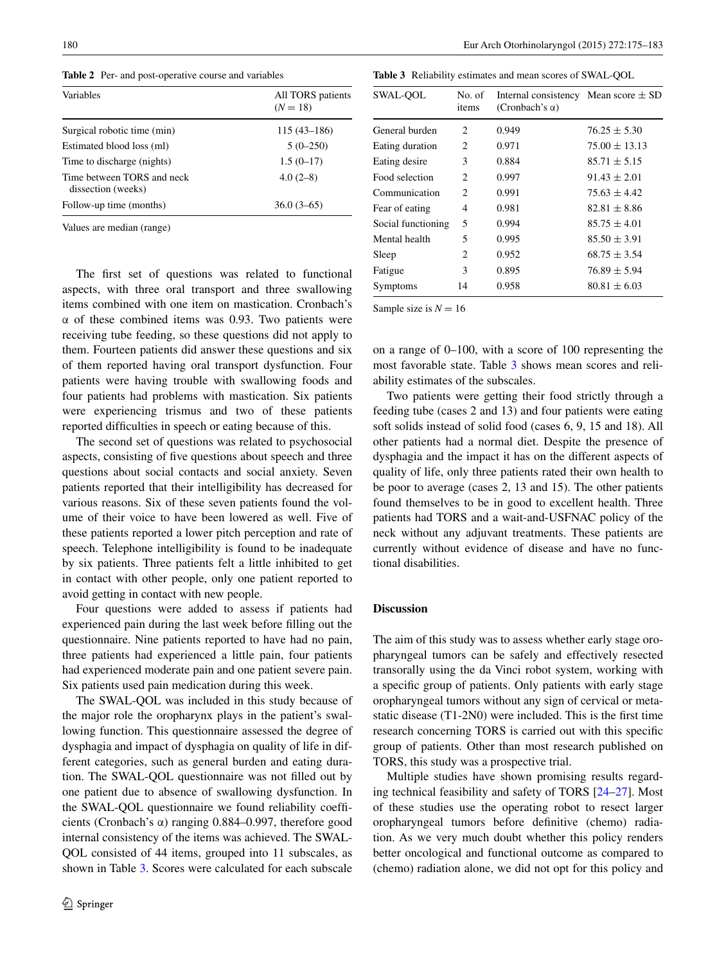<span id="page-6-0"></span>**Table 2** Per- and post-operative course and variables

| Variables                                        | All TORS patients<br>$(N = 18)$ |
|--------------------------------------------------|---------------------------------|
| Surgical robotic time (min)                      | $115(43-186)$                   |
| Estimated blood loss (ml)                        | $5(0-250)$                      |
| Time to discharge (nights)                       | $1.5(0-17)$                     |
| Time between TORS and neck<br>dissection (weeks) | $4.0(2-8)$                      |
| Follow-up time (months)                          | $36.0(3-65)$                    |

Values are median (range)

The first set of questions was related to functional aspects, with three oral transport and three swallowing items combined with one item on mastication. Cronbach's α of these combined items was 0.93. Two patients were receiving tube feeding, so these questions did not apply to them. Fourteen patients did answer these questions and six of them reported having oral transport dysfunction. Four patients were having trouble with swallowing foods and four patients had problems with mastication. Six patients were experiencing trismus and two of these patients reported difficulties in speech or eating because of this.

The second set of questions was related to psychosocial aspects, consisting of five questions about speech and three questions about social contacts and social anxiety. Seven patients reported that their intelligibility has decreased for various reasons. Six of these seven patients found the volume of their voice to have been lowered as well. Five of these patients reported a lower pitch perception and rate of speech. Telephone intelligibility is found to be inadequate by six patients. Three patients felt a little inhibited to get in contact with other people, only one patient reported to avoid getting in contact with new people.

Four questions were added to assess if patients had experienced pain during the last week before filling out the questionnaire. Nine patients reported to have had no pain, three patients had experienced a little pain, four patients had experienced moderate pain and one patient severe pain. Six patients used pain medication during this week.

The SWAL-QOL was included in this study because of the major role the oropharynx plays in the patient's swallowing function. This questionnaire assessed the degree of dysphagia and impact of dysphagia on quality of life in different categories, such as general burden and eating duration. The SWAL-QOL questionnaire was not filled out by one patient due to absence of swallowing dysfunction. In the SWAL-QOL questionnaire we found reliability coefficients (Cronbach's α) ranging 0.884–0.997, therefore good internal consistency of the items was achieved. The SWAL-QOL consisted of 44 items, grouped into 11 subscales, as shown in Table [3.](#page-6-1) Scores were calculated for each subscale

<span id="page-6-1"></span>**Table 3** Reliability estimates and mean scores of SWAL-QOL

| SWAL-OOL           | No. of<br>items | Internal consistency Mean score $\pm$ SD<br>(Cronbach's $\alpha$ ) |                   |
|--------------------|-----------------|--------------------------------------------------------------------|-------------------|
| General burden     | 2               | 0.949                                                              | $76.25 \pm 5.30$  |
| Eating duration    | 2               | 0.971                                                              | $75.00 \pm 13.13$ |
| Eating desire      | 3               | 0.884                                                              | $85.71 \pm 5.15$  |
| Food selection     | 2               | 0.997                                                              | $91.43 \pm 2.01$  |
| Communication      | 2               | 0.991                                                              | $75.63 \pm 4.42$  |
| Fear of eating     | 4               | 0.981                                                              | $82.81 \pm 8.86$  |
| Social functioning | 5               | 0.994                                                              | $85.75 \pm 4.01$  |
| Mental health      | 5               | 0.995                                                              | $85.50 \pm 3.91$  |
| Sleep              | 2               | 0.952                                                              | $68.75 \pm 3.54$  |
| Fatigue            | 3               | 0.895                                                              | $76.89 \pm 5.94$  |
| Symptoms           | 14              | 0.958                                                              | $80.81 \pm 6.03$  |

Sample size is  $N = 16$ 

on a range of 0–100, with a score of 100 representing the most favorable state. Table [3](#page-6-1) shows mean scores and reliability estimates of the subscales.

Two patients were getting their food strictly through a feeding tube (cases 2 and 13) and four patients were eating soft solids instead of solid food (cases 6, 9, 15 and 18). All other patients had a normal diet. Despite the presence of dysphagia and the impact it has on the different aspects of quality of life, only three patients rated their own health to be poor to average (cases 2, 13 and 15). The other patients found themselves to be in good to excellent health. Three patients had TORS and a wait-and-USFNAC policy of the neck without any adjuvant treatments. These patients are currently without evidence of disease and have no functional disabilities.

#### **Discussion**

The aim of this study was to assess whether early stage oropharyngeal tumors can be safely and effectively resected transorally using the da Vinci robot system, working with a specific group of patients. Only patients with early stage oropharyngeal tumors without any sign of cervical or metastatic disease (T1-2N0) were included. This is the first time research concerning TORS is carried out with this specific group of patients. Other than most research published on TORS, this study was a prospective trial.

Multiple studies have shown promising results regarding technical feasibility and safety of TORS [\[24](#page-8-19)[–27](#page-8-20)]. Most of these studies use the operating robot to resect larger oropharyngeal tumors before definitive (chemo) radiation. As we very much doubt whether this policy renders better oncological and functional outcome as compared to (chemo) radiation alone, we did not opt for this policy and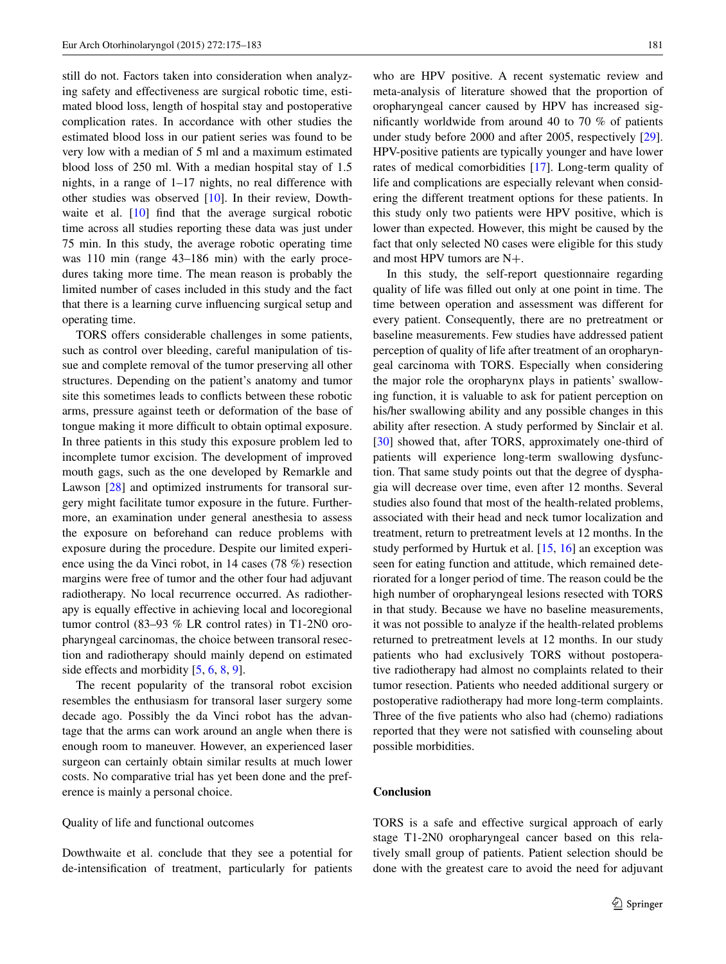still do not. Factors taken into consideration when analyzing safety and effectiveness are surgical robotic time, estimated blood loss, length of hospital stay and postoperative complication rates. In accordance with other studies the estimated blood loss in our patient series was found to be very low with a median of 5 ml and a maximum estimated blood loss of 250 ml. With a median hospital stay of 1.5 nights, in a range of 1–17 nights, no real difference with other studies was observed [[10\]](#page-8-6). In their review, Dowth-waite et al. [\[10](#page-8-6)] find that the average surgical robotic time across all studies reporting these data was just under 75 min. In this study, the average robotic operating time was 110 min (range 43–186 min) with the early procedures taking more time. The mean reason is probably the limited number of cases included in this study and the fact that there is a learning curve influencing surgical setup and operating time.

TORS offers considerable challenges in some patients, such as control over bleeding, careful manipulation of tissue and complete removal of the tumor preserving all other structures. Depending on the patient's anatomy and tumor site this sometimes leads to conflicts between these robotic arms, pressure against teeth or deformation of the base of tongue making it more difficult to obtain optimal exposure. In three patients in this study this exposure problem led to incomplete tumor excision. The development of improved mouth gags, such as the one developed by Remarkle and Lawson [[28\]](#page-9-0) and optimized instruments for transoral surgery might facilitate tumor exposure in the future. Furthermore, an examination under general anesthesia to assess the exposure on beforehand can reduce problems with exposure during the procedure. Despite our limited experience using the da Vinci robot, in 14 cases (78 %) resection margins were free of tumor and the other four had adjuvant radiotherapy. No local recurrence occurred. As radiotherapy is equally effective in achieving local and locoregional tumor control (83–93 % LR control rates) in T1-2N0 oropharyngeal carcinomas, the choice between transoral resection and radiotherapy should mainly depend on estimated side effects and morbidity [[5,](#page-8-4) [6,](#page-8-21) [8,](#page-8-22) [9\]](#page-8-5).

The recent popularity of the transoral robot excision resembles the enthusiasm for transoral laser surgery some decade ago. Possibly the da Vinci robot has the advantage that the arms can work around an angle when there is enough room to maneuver. However, an experienced laser surgeon can certainly obtain similar results at much lower costs. No comparative trial has yet been done and the preference is mainly a personal choice.

#### Quality of life and functional outcomes

Dowthwaite et al. conclude that they see a potential for de-intensification of treatment, particularly for patients who are HPV positive. A recent systematic review and meta-analysis of literature showed that the proportion of oropharyngeal cancer caused by HPV has increased significantly worldwide from around 40 to 70 % of patients under study before 2000 and after 2005, respectively [\[29](#page-9-1)]. HPV-positive patients are typically younger and have lower rates of medical comorbidities [\[17](#page-8-12)]. Long-term quality of life and complications are especially relevant when considering the different treatment options for these patients. In this study only two patients were HPV positive, which is lower than expected. However, this might be caused by the fact that only selected N0 cases were eligible for this study and most HPV tumors are N+.

In this study, the self-report questionnaire regarding quality of life was filled out only at one point in time. The time between operation and assessment was different for every patient. Consequently, there are no pretreatment or baseline measurements. Few studies have addressed patient perception of quality of life after treatment of an oropharyngeal carcinoma with TORS. Especially when considering the major role the oropharynx plays in patients' swallowing function, it is valuable to ask for patient perception on his/her swallowing ability and any possible changes in this ability after resection. A study performed by Sinclair et al. [\[30](#page-9-2)] showed that, after TORS, approximately one-third of patients will experience long-term swallowing dysfunction. That same study points out that the degree of dysphagia will decrease over time, even after 12 months. Several studies also found that most of the health-related problems, associated with their head and neck tumor localization and treatment, return to pretreatment levels at 12 months. In the study performed by Hurtuk et al. [\[15](#page-8-10), [16](#page-8-11)] an exception was seen for eating function and attitude, which remained deteriorated for a longer period of time. The reason could be the high number of oropharyngeal lesions resected with TORS in that study. Because we have no baseline measurements, it was not possible to analyze if the health-related problems returned to pretreatment levels at 12 months. In our study patients who had exclusively TORS without postoperative radiotherapy had almost no complaints related to their tumor resection. Patients who needed additional surgery or postoperative radiotherapy had more long-term complaints. Three of the five patients who also had (chemo) radiations reported that they were not satisfied with counseling about possible morbidities.

### **Conclusion**

TORS is a safe and effective surgical approach of early stage T1-2N0 oropharyngeal cancer based on this relatively small group of patients. Patient selection should be done with the greatest care to avoid the need for adjuvant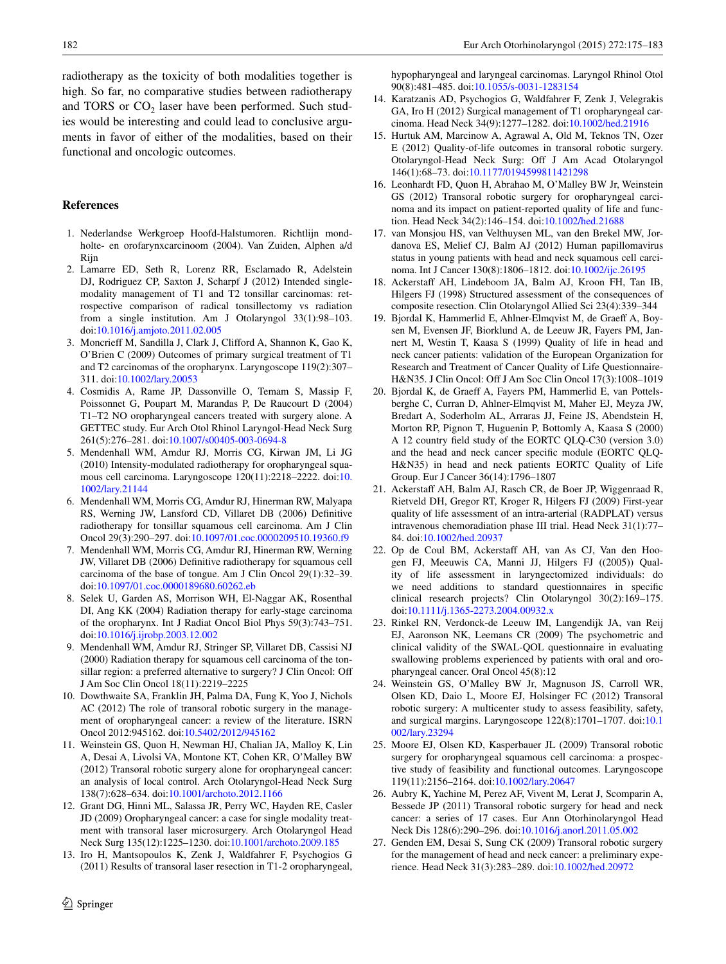radiotherapy as the toxicity of both modalities together is high. So far, no comparative studies between radiotherapy and TORS or  $CO<sub>2</sub>$  laser have been performed. Such studies would be interesting and could lead to conclusive arguments in favor of either of the modalities, based on their functional and oncologic outcomes.

#### **References**

- <span id="page-8-0"></span>1. Nederlandse Werkgroep Hoofd-Halstumoren. Richtlijn mondholte- en orofarynxcarcinoom (2004). Van Zuiden, Alphen a/d Rijn
- <span id="page-8-1"></span>2. Lamarre ED, Seth R, Lorenz RR, Esclamado R, Adelstein DJ, Rodriguez CP, Saxton J, Scharpf J (2012) Intended singlemodality management of T1 and T2 tonsillar carcinomas: retrospective comparison of radical tonsillectomy vs radiation from a single institution. Am J Otolaryngol 33(1):98–103. doi[:10.1016/j.amjoto.2011.02.005](http://dx.doi.org/10.1016/j.amjoto.2011.02.005)
- <span id="page-8-2"></span>3. Moncrieff M, Sandilla J, Clark J, Clifford A, Shannon K, Gao K, O'Brien C (2009) Outcomes of primary surgical treatment of T1 and T2 carcinomas of the oropharynx. Laryngoscope 119(2):307– 311. doi[:10.1002/lary.20053](http://dx.doi.org/10.1002/lary.20053)
- <span id="page-8-3"></span>4. Cosmidis A, Rame JP, Dassonville O, Temam S, Massip F, Poissonnet G, Poupart M, Marandas P, De Raucourt D (2004) T1–T2 NO oropharyngeal cancers treated with surgery alone. A GETTEC study. Eur Arch Otol Rhinol Laryngol-Head Neck Surg 261(5):276–281. doi[:10.1007/s00405-003-0694-8](http://dx.doi.org/10.1007/s00405-003-0694-8)
- <span id="page-8-4"></span>5. Mendenhall WM, Amdur RJ, Morris CG, Kirwan JM, Li JG (2010) Intensity-modulated radiotherapy for oropharyngeal squamous cell carcinoma. Laryngoscope 120(11):2218–2222. doi:[10.](http://dx.doi.org/10.1002/lary.21144) [1002/lary.21144](http://dx.doi.org/10.1002/lary.21144)
- <span id="page-8-21"></span>6. Mendenhall WM, Morris CG, Amdur RJ, Hinerman RW, Malyapa RS, Werning JW, Lansford CD, Villaret DB (2006) Definitive radiotherapy for tonsillar squamous cell carcinoma. Am J Clin Oncol 29(3):290–297. doi:[10.1097/01.coc.0000209510.19360.f9](http://dx.doi.org/10.1097/01.coc.0000209510.19360.f9)
- 7. Mendenhall WM, Morris CG, Amdur RJ, Hinerman RW, Werning JW, Villaret DB (2006) Definitive radiotherapy for squamous cell carcinoma of the base of tongue. Am J Clin Oncol 29(1):32–39. doi[:10.1097/01.coc.0000189680.60262.eb](http://dx.doi.org/10.1097/01.coc.0000189680.60262.eb)
- <span id="page-8-22"></span>8. Selek U, Garden AS, Morrison WH, El-Naggar AK, Rosenthal DI, Ang KK (2004) Radiation therapy for early-stage carcinoma of the oropharynx. Int J Radiat Oncol Biol Phys 59(3):743–751. doi[:10.1016/j.ijrobp.2003.12.002](http://dx.doi.org/10.1016/j.ijrobp.2003.12.002)
- <span id="page-8-5"></span>9. Mendenhall WM, Amdur RJ, Stringer SP, Villaret DB, Cassisi NJ (2000) Radiation therapy for squamous cell carcinoma of the tonsillar region: a preferred alternative to surgery? J Clin Oncol: Off J Am Soc Clin Oncol 18(11):2219–2225
- <span id="page-8-6"></span>10. Dowthwaite SA, Franklin JH, Palma DA, Fung K, Yoo J, Nichols AC (2012) The role of transoral robotic surgery in the management of oropharyngeal cancer: a review of the literature. ISRN Oncol 2012:945162. doi[:10.5402/2012/945162](http://dx.doi.org/10.5402/2012/945162)
- <span id="page-8-7"></span>11. Weinstein GS, Quon H, Newman HJ, Chalian JA, Malloy K, Lin A, Desai A, Livolsi VA, Montone KT, Cohen KR, O'Malley BW (2012) Transoral robotic surgery alone for oropharyngeal cancer: an analysis of local control. Arch Otolaryngol-Head Neck Surg 138(7):628–634. doi[:10.1001/archoto.2012.1166](http://dx.doi.org/10.1001/archoto.2012.1166)
- <span id="page-8-8"></span>12. Grant DG, Hinni ML, Salassa JR, Perry WC, Hayden RE, Casler JD (2009) Oropharyngeal cancer: a case for single modality treatment with transoral laser microsurgery. Arch Otolaryngol Head Neck Surg 135(12):1225–1230. doi[:10.1001/archoto.2009.185](http://dx.doi.org/10.1001/archoto.2009.185)
- 13. Iro H, Mantsopoulos K, Zenk J, Waldfahrer F, Psychogios G (2011) Results of transoral laser resection in T1-2 oropharyngeal,

hypopharyngeal and laryngeal carcinomas. Laryngol Rhinol Otol 90(8):481–485. doi[:10.1055/s-0031-1283154](http://dx.doi.org/10.1055/s-0031-1283154)

- <span id="page-8-9"></span>14. Karatzanis AD, Psychogios G, Waldfahrer F, Zenk J, Velegrakis GA, Iro H (2012) Surgical management of T1 oropharyngeal carcinoma. Head Neck 34(9):1277–1282. doi[:10.1002/hed.21916](http://dx.doi.org/10.1002/hed.21916)
- <span id="page-8-10"></span>15. Hurtuk AM, Marcinow A, Agrawal A, Old M, Teknos TN, Ozer E (2012) Quality-of-life outcomes in transoral robotic surgery. Otolaryngol-Head Neck Surg: Off J Am Acad Otolaryngol 146(1):68–73. doi:[10.1177/0194599811421298](http://dx.doi.org/10.1177/0194599811421298)
- <span id="page-8-11"></span>16. Leonhardt FD, Quon H, Abrahao M, O'Malley BW Jr, Weinstein GS (2012) Transoral robotic surgery for oropharyngeal carcinoma and its impact on patient-reported quality of life and function. Head Neck 34(2):146–154. doi:[10.1002/hed.21688](http://dx.doi.org/10.1002/hed.21688)
- <span id="page-8-12"></span>17. van Monsjou HS, van Velthuysen ML, van den Brekel MW, Jordanova ES, Melief CJ, Balm AJ (2012) Human papillomavirus status in young patients with head and neck squamous cell carcinoma. Int J Cancer 130(8):1806–1812. doi[:10.1002/ijc.26195](http://dx.doi.org/10.1002/ijc.26195)
- <span id="page-8-13"></span>18. Ackerstaff AH, Lindeboom JA, Balm AJ, Kroon FH, Tan IB, Hilgers FJ (1998) Structured assessment of the consequences of composite resection. Clin Otolaryngol Allied Sci 23(4):339–344
- <span id="page-8-14"></span>19. Bjordal K, Hammerlid E, Ahlner-Elmqvist M, de Graeff A, Boysen M, Evensen JF, Biorklund A, de Leeuw JR, Fayers PM, Jannert M, Westin T, Kaasa S (1999) Quality of life in head and neck cancer patients: validation of the European Organization for Research and Treatment of Cancer Quality of Life Questionnaire-H&N35. J Clin Oncol: Off J Am Soc Clin Oncol 17(3):1008–1019
- <span id="page-8-15"></span>20. Bjordal K, de Graeff A, Fayers PM, Hammerlid E, van Pottelsberghe C, Curran D, Ahlner-Elmqvist M, Maher EJ, Meyza JW, Bredart A, Soderholm AL, Arraras JJ, Feine JS, Abendstein H, Morton RP, Pignon T, Huguenin P, Bottomly A, Kaasa S (2000) A 12 country field study of the EORTC QLQ-C30 (version 3.0) and the head and neck cancer specific module (EORTC QLQ-H&N35) in head and neck patients EORTC Quality of Life Group. Eur J Cancer 36(14):1796–1807
- <span id="page-8-16"></span>21. Ackerstaff AH, Balm AJ, Rasch CR, de Boer JP, Wiggenraad R, Rietveld DH, Gregor RT, Kroger R, Hilgers FJ (2009) First-year quality of life assessment of an intra-arterial (RADPLAT) versus intravenous chemoradiation phase III trial. Head Neck 31(1):77– 84. doi[:10.1002/hed.20937](http://dx.doi.org/10.1002/hed.20937)
- <span id="page-8-17"></span>22. Op de Coul BM, Ackerstaff AH, van As CJ, Van den Hoogen FJ, Meeuwis CA, Manni JJ, Hilgers FJ ((2005)) Quality of life assessment in laryngectomized individuals: do we need additions to standard questionnaires in specific clinical research projects? Clin Otolaryngol 30(2):169–175. doi[:10.1111/j.1365-2273.2004.00932.x](http://dx.doi.org/10.1111/j.1365-2273.2004.00932.x)
- <span id="page-8-18"></span>23. Rinkel RN, Verdonck-de Leeuw IM, Langendijk JA, van Reij EJ, Aaronson NK, Leemans CR (2009) The psychometric and clinical validity of the SWAL-QOL questionnaire in evaluating swallowing problems experienced by patients with oral and oropharyngeal cancer. Oral Oncol 45(8):12
- <span id="page-8-19"></span>24. Weinstein GS, O'Malley BW Jr, Magnuson JS, Carroll WR, Olsen KD, Daio L, Moore EJ, Holsinger FC (2012) Transoral robotic surgery: A multicenter study to assess feasibility, safety, and surgical margins. Laryngoscope 122(8):1701–1707. doi[:10.1](http://dx.doi.org/10.1002/lary.23294) [002/lary.23294](http://dx.doi.org/10.1002/lary.23294)
- 25. Moore EJ, Olsen KD, Kasperbauer JL (2009) Transoral robotic surgery for oropharyngeal squamous cell carcinoma: a prospective study of feasibility and functional outcomes. Laryngoscope 119(11):2156–2164. doi[:10.1002/lary.20647](http://dx.doi.org/10.1002/lary.20647)
- 26. Aubry K, Yachine M, Perez AF, Vivent M, Lerat J, Scomparin A, Bessede JP (2011) Transoral robotic surgery for head and neck cancer: a series of 17 cases. Eur Ann Otorhinolaryngol Head Neck Dis 128(6):290–296. doi[:10.1016/j.anorl.2011.05.002](http://dx.doi.org/10.1016/j.anorl.2011.05.002)
- <span id="page-8-20"></span>27. Genden EM, Desai S, Sung CK (2009) Transoral robotic surgery for the management of head and neck cancer: a preliminary experience. Head Neck 31(3):283–289. doi[:10.1002/hed.20972](http://dx.doi.org/10.1002/hed.20972)